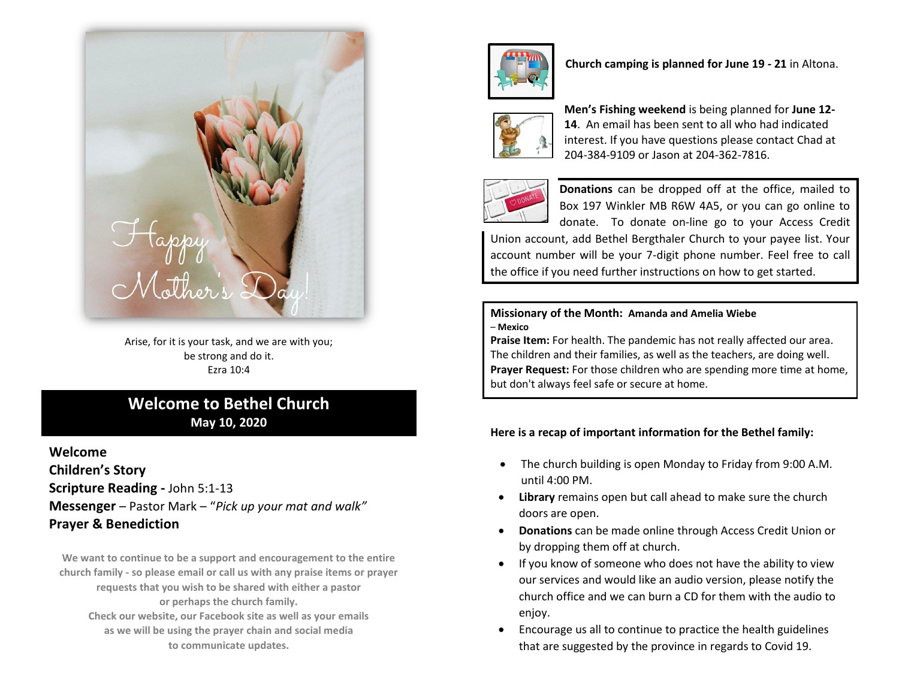

Arise, for it is your task, and we are with you; be strong and do it. Ezra 10:4

# **Welcome to Bethel Church May 10, 2020**

**Welcome Children's Story Scripture Reading -** John 5:1-13 **Messenger** – Pastor Mark – "*Pick up your mat and walk"* **Prayer & Benediction**

**We want to continue to be a support and encouragement to the entire church family - so please email or call us with any praise items or prayer requests that you wish to be shared with either a pastor or perhaps the church family. Check our website, our Facebook site as well as your emails as we will be using the prayer chain and social media to communicate updates.**



### **Church camping is planned for June 19 - 21** in Altona.



**Men's Fishing weekend** is being planned for **June 12- 14**. An email has been sent to all who had indicated interest. If you have questions please contact Chad at 204-384-9109 or Jason at 204-362-7816.



**Donations** can be dropped off at the office, mailed to Box 197 Winkler MB R6W 4A5, or you can go online to donate. To donate on-line go to your Access Credit

Union account, add Bethel Bergthaler Church to your payee list. Your account number will be your 7-digit phone number. Feel free to call the office if you need further instructions on how to get started.

#### **Missionary of the Month: Amanda and Amelia Wiebe** – **Mexico**

**Praise Item:** For health. The pandemic has not really affected our area. The children and their families, as well as the teachers, are doing well. **Prayer Request:** For those children who are spending more time at home, but don't always feel safe or secure at home.

## **Here is a recap of important information for the Bethel family:**

- The church building is open Monday to Friday from 9:00 A.M. until 4:00 PM.
- **Library** remains open but call ahead to make sure the church doors are open.
- **Donations** can be made online through Access Credit Union or by dropping them off at church.
- If you know of someone who does not have the ability to view our services and would like an audio version, please notify the church office and we can burn a CD for them with the audio to enjoy.
- Encourage us all to continue to practice the health guidelines that are suggested by the province in regards to Covid 19.